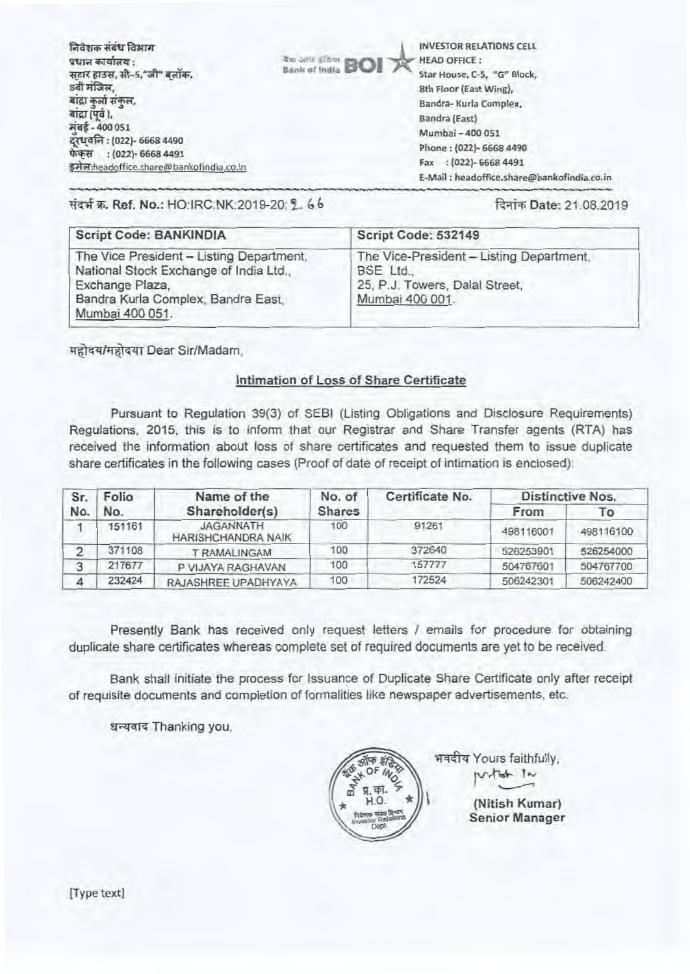निवेशक संबंध विभाग प्रधान कार्यालय $:$ सटार हाउस, सी-5,"जी" बलॉक. 8वी मंजिल, बांद्रा कुर्ला संकुल,<br>बांद्रा (पर्व ), मंबई - 400 051 दरधवनि: (022)- 6668 4490 फेकस : (022)- 6668 4491 इमेल:headoffice.share@bankofindia.co.in

**100 -Anis (Carrie BOI**) Response to the HEAD OFFICE:

INVESTOR RELATIONS CELL Star House, C-5, "G" Block, 8th Floor (East Wing), Bandra- Kurla Complex, Sandra (East) Mumbai - 400 051 Phone: (022)- 6668 4490 Fax : (022)- 6668 4491 E-Mail : headoffice.share@bankofindia.co.in

## संदर्भ क्र. Ref. No.: HO:IRC:NK:2019-20: 2 66 12:108.2019

| <b>Script Code: BANKINDIA</b>                                                                                                                                  | Script Code: 532149                                                                                      |
|----------------------------------------------------------------------------------------------------------------------------------------------------------------|----------------------------------------------------------------------------------------------------------|
| The Vice President - Listing Department,<br>National Stock Exchange of India Ltd.,<br>Exchange Plaza,<br>Bandra Kurla Complex, Bandra East,<br>Mumbai 400 051. | The Vice-President - Listing Department,<br>BSE Ltd<br>25, P.J. Towers, Dalal Street,<br>Mumbai 400 001. |

•••••••••••,

महोदय/महोदया Dear Sir/Madam,

### Intimation of Loss of Share Certificate

Pursuant to Regulation 39(3) of SEBI (Listing Obligations and Disclosure Requirements) Regulations, 2015, this is to inform that our Registrar and Share Transfer agents (RTA) has received the information about loss of share certificates and requested them to issue duplicate share certificates in the following cases (Proof of date of receipt of intimation is enclosed):

| Folio<br>Sr.<br>No.<br>No. |                | Name of the                            | No. of | Certificate No. | <b>Distinctive Nos.</b> |           |  |
|----------------------------|----------------|----------------------------------------|--------|-----------------|-------------------------|-----------|--|
|                            | Shareholder(s) | <b>Shares</b>                          |        | From            | 10                      |           |  |
|                            | 151161         | JAGANNATH<br><b>HARISHCHANDRA NAIK</b> | 100    | 91261           | 498116001               | 498116100 |  |
|                            | 371108         | <b>T RAMALINGAM</b>                    | 100    | 372640          | 526253901               | 526254000 |  |
|                            | 217677         | P VIJAYA RAGHAVAN                      | 100    | 157777          | 504767601               | 504767700 |  |
|                            | 232424         | RAJASHREE UPADHYAYA                    | 100    | 172524          | 506242301               | 506242400 |  |

Presently Bank has received only request letters / emails for procedure for obtaining duplicate share certificates whereas complete set of required documents are yet to be received.

Bank shall initiate the process for Issuance of Duplicate Share Certificate only after receipt of requisite documents and completion of formalities like newspaper advertisements, etc.

धन्यवाद Thanking you,



भवदीय Yours faithfully,  $V$ -that  $1$ 

> **(Nitish Kumar) Senior Manager**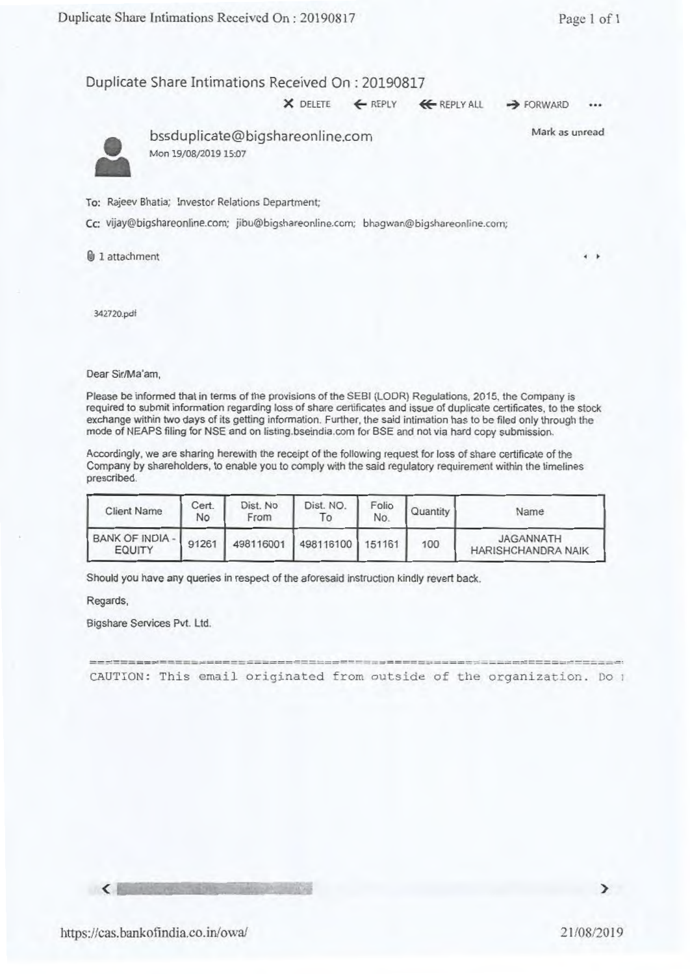$\times$  DELETE  $\leftarrow$  REPLY  $\leftarrow$  REPLY ALL  $\rightarrow$  FORWARD



• bssduplicate@bigshareonline.com Mon 19/08/2019 15:07

Mark as unread

To: Rajeev Bhatia; Investor Relations Department;

Cc: vijay@bigshareonline.com; jibu@bigshareonline.com; bhagwan@bigshareonline.com;

lb 1 attachment **<sup>4</sup>**

342720.pdf

Dear Sir/Ma'am,

Please be informed that in terms of the provisions of the SEBI (LODR) Regulations, 2015, the Company is required to submit information regarding loss of share certificates and issue of duplicate certificates, to the stock exchange within two days of its getting information. Further, the said intimation has to be filed only through the mode of NEAPS filing for NSE and on listing.bseindia.com for BSE and not via hard copy submission.

Accordingly, we are sharing herewith the receipt of the following request for loss of share certificate of the Company by shareholders, to enable you to comply with the said regulatory requirement within the timelines prescribed.

| <b>Client Name</b>                      | Cert.<br>No | Dist. No<br>From | Dist. NO.<br>10            | Folio<br>No. | Quantity | Name                                   |
|-----------------------------------------|-------------|------------------|----------------------------|--------------|----------|----------------------------------------|
| <b>BANK OF INDIA -</b><br><b>EQUITY</b> | 91261       |                  | 498116001 498116100 151161 |              | 100      | <b>JAGANNATH</b><br>HARISHCHANDRA NAIK |

Should you have any queries in respect of the aforesaid instruction kindly revert back.

Regards,

Bigshare Services Pvt. Ltd.

CAUTION: This email originated from outside of the organization. Do

 $\epsilon$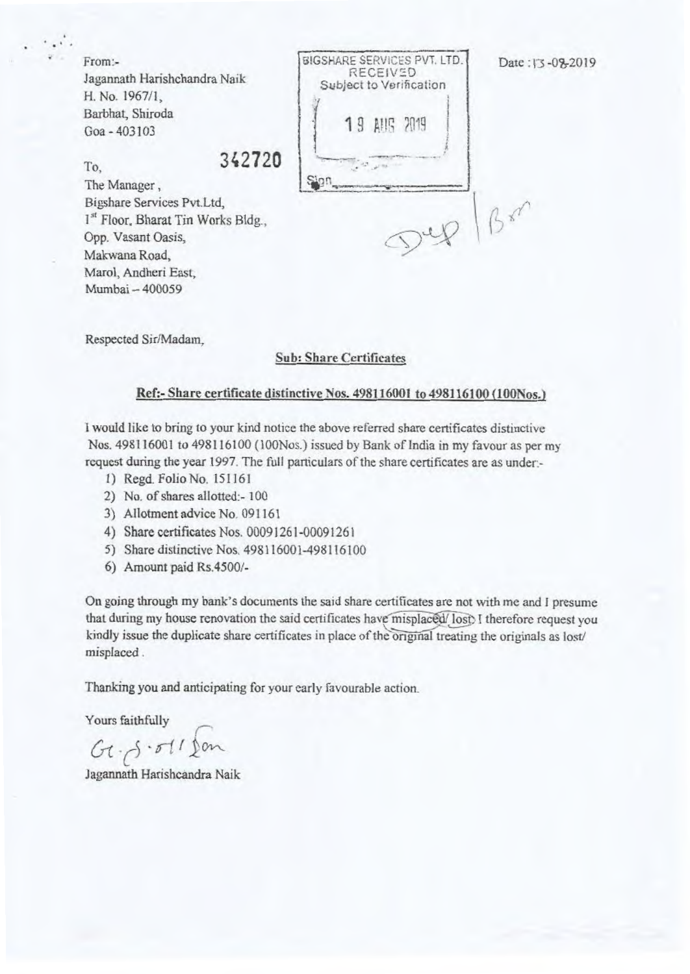From:- Jagannath Harishchandra Naik H. No. 1967/1, Barbhat, Shiroda Goa - 403103

SIGSHARE SERVICES PVT. LTD. RECEIVED Subject to Verification 19 A119 2019 I

To, 342720

•

The Manager , Bigshare Services Pvt. Ltd, 1<sup>st</sup> Floor, Bharat Tin Works Bldg., Opp. Vasant Oasis, Makwana Road, Marol, Andheri East, Mumbai — 400059

 $\n \ \, \mathfrak{sp} \mid \beta \mathfrak{so}$ 

Respected Sir/Madam,

#### Sub: Share Certificates

#### Ref:- Share certificate distinctive *Nos.* 498116001 to 498116100 (100Nos.)

I would like to bring to your kind notice the above referred share certificates distinctive Nos. 498116001 to 498116100 (100Nos.) issued by Bank of India in my favour as per my request during the year 1997. The full particulars of the share certificates are as under:-

- I) Regd. Folio No. 151161
- 2) No. of shares allotted:- 100
- 3) Allotment advice No. 091161
- 4) Share certificates Nos. 00091261-00091261
- 5) Share distinctive Nos. 498116001-498116100
- 6) Amount paid Rs.4500/-

On going through my bank's documents the said share certificates are not with me and 1 presume that during my house renovation the said certificates have misplaced/lost I therefore request you kindly issue the duplicate share certificates in place of the original treating the originals as lost/ misplaced .

Thanking you and anticipating for your early favourable action.

Yours faithfully

 $Gt - \beta \cdot \sigma t$  / fon

Jagannath Harishcandra Naik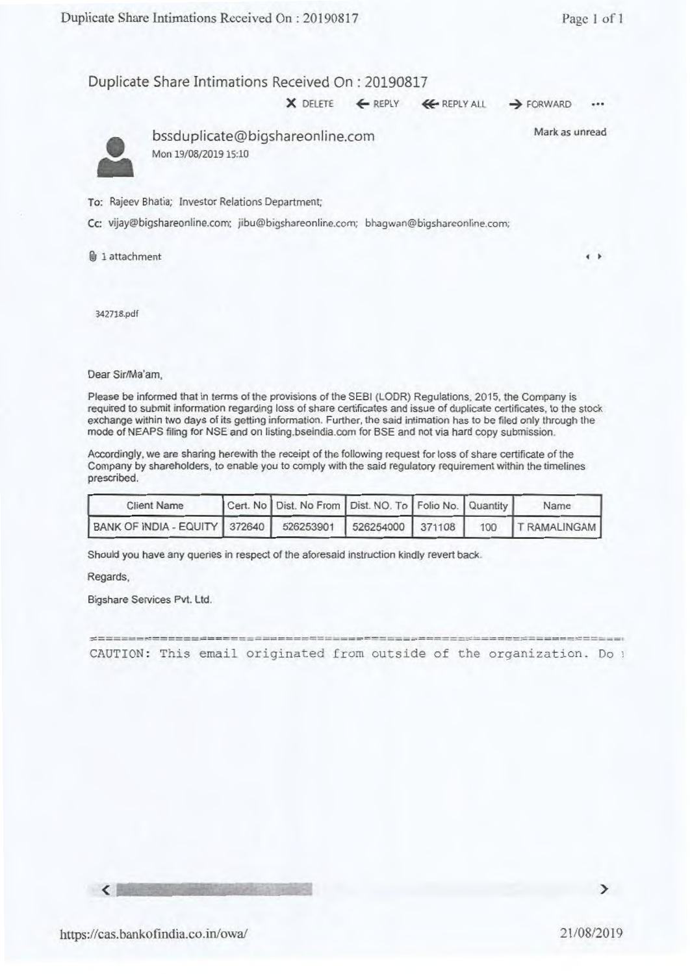X DELETE 4— REPLY (4- REPLY ALL **4** FORWARD



• bssduplicate@bigshareonline.com Mon 19/08/2019 15:10

Mark as unread

To: Rajeev Bhatia; Investor Relations Department;

Cc: vijay@bigshareonline.com: jibu@bigshareonline.com; bhagwan@bigshareonline.com;

 $\mathbf{\Theta}$  1 attachment **I I** 

342718.pdf

Dear Sir/Ma'am,

Please be informed that in terms of the provisions of the SEBI (LODR) Regulations. 2015, the Company is required to submit information regarding loss of share certificates and issue of duplicate certificates, to the stock exchange within two days of its getting information. Further, the said intimation has to be filed only through the mode of NEAPS filing for NSE and on listing.bseindia.com for BSE and not via hard copy submission.

Accordingly, we are sharing herewith the receipt of the following request for loss of share certificate of the Company by shareholders, to enable you to comply with the said regulatory requirement within the timelines prescribed.

| <b>Client Name</b>                                       | Cert. No Dist. No From Dist. NO. To Folio No. Quantity |  | Name               |
|----------------------------------------------------------|--------------------------------------------------------|--|--------------------|
| BANK OF INDIA - EQUITY 372640 526253901 526254000 371108 |                                                        |  | 100   T RAMALINGAM |

Should you have any queries in respect of the aforesaid instruction kindly revert back.

Regards,

Bigshare Services Pvt. Ltd.

=- CAUTION: This email originated from outside of the organization. Do

 $\epsilon$  above the state  $\epsilon$ 

⋗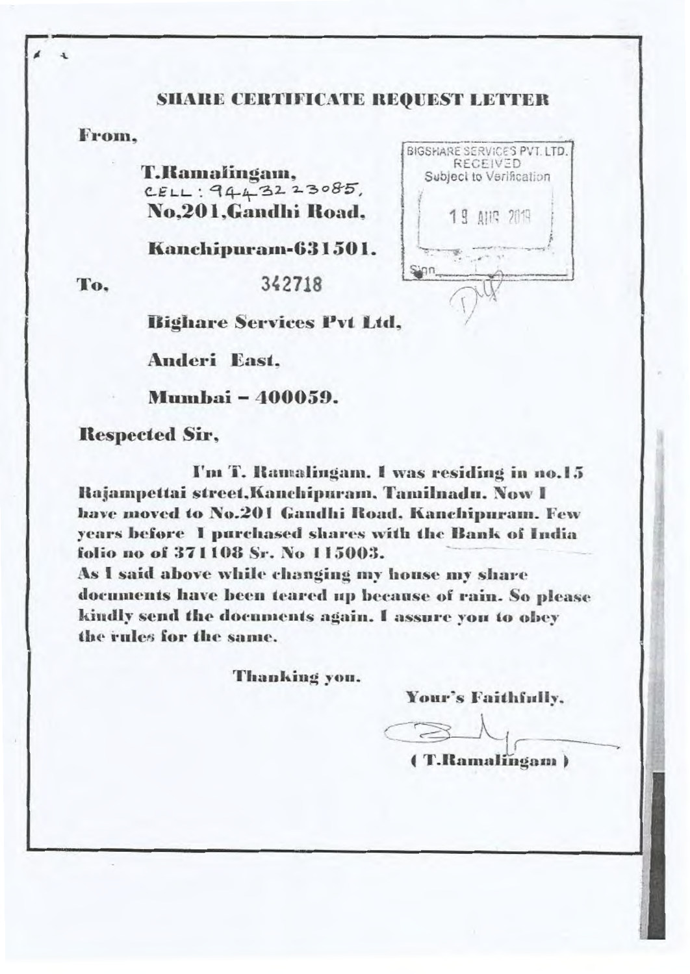# **SHARE CERTIFICATE REQUEST LETTER**

# **From,**

**4.** 

**T.Bainalingam,** CELL: 9443223085, **No,201,Gandhi Road,** 

**Kanchipurain-631501.**



**To, 342718** 



**Righare Services Pvt Ltd,** 

**Anderi East,**

**Munthai- 400059.** 

**Respected Sir,** 

**I'm T. Ramalingam. I** was residing in no.15 **Ilajampettai street,Kanchipstrain, Tamilnadu. Now I have moved to No.201 Gandhi Road. Kanchipurans. Few years before I purchased shares with the Bank of India folio no of 371108 Sr. No 115003.** 

As I said above while changing my house my share **documents have been teared up because of rain. So please kindly send the documents again. I assure you to obey the rtden for the same.** 

**Thanking you.** 

**Your's Faithfully.** 

**4 T.Ramalingani**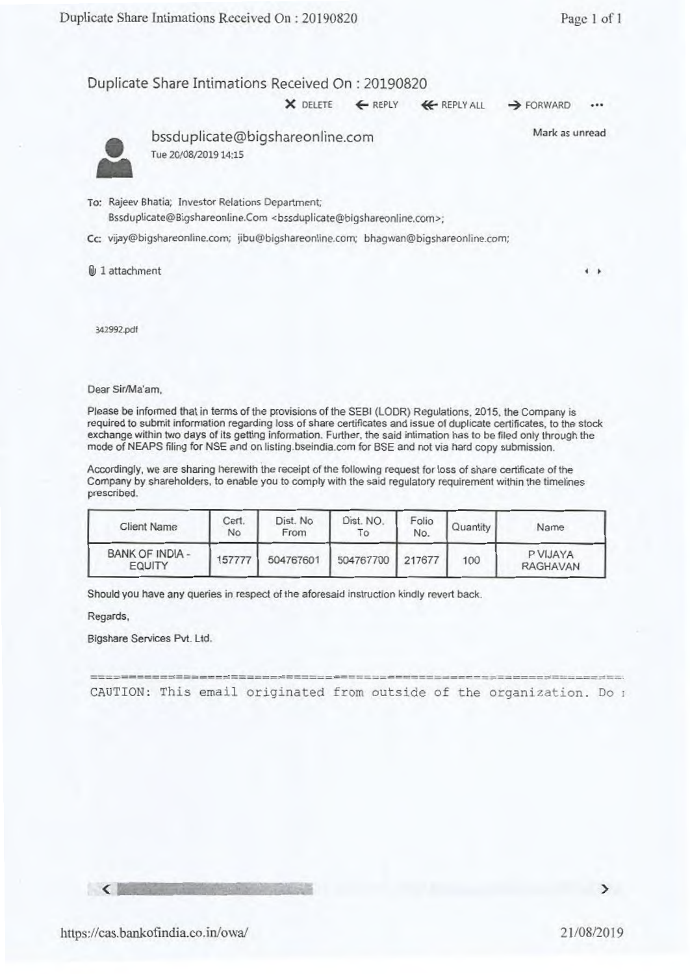X DELETE ← REPLY **4+** REPLY ALL → FORWARD



bssduplicate@bigshareonline.com Tue 20/08/2019 14:15

Mark as unread

To: Rajeev Bhatia; Investor Relations Department; Bssduplicate@Bigshareonline.Com <br/> <br/>ssduplicate@bigshareonline.com>;

Cc: vijay@bigshareonline.com; jibu@bigshareonline.com; bhagwan@bigshareonline.com;

1 attachment **<sup>4</sup>**

342992.pdf

Dear Sir/Ma'am,

Please be informed that in terms of the provisions of the SEBI (LODR) Regulations, 2015. the Company is required to submit information regarding loss of share certificates and issue of duplicate certificates, to the stock exchange within two days of its getting information. Further, the said intimation has to be filed only through the mode of NEAPS filing for NSE and on listing.bseindia.com for BSE and not via hard copy submission.

Accordingly, we are sharing herewith the receipt of the following request for loss of share certificate of the Company by shareholders, to enable you to comply with the said regulatory requirement within the timelines prescribed.

| <b>Client Name</b>               | Cert.<br>No | Dist. No<br>From | Dist. NO.<br>10  | Folio<br>No. | Quantity | Name                        |
|----------------------------------|-------------|------------------|------------------|--------------|----------|-----------------------------|
| BANK OF INDIA -<br><b>EQUITY</b> | 157777      | 504767601        | 504767700 217677 |              | 100      | P VIJAYA<br><b>RAGHAVAN</b> |

Should you have any queries in respect of the aforesaid instruction kindly revert back.

Regards,

Bigshare Services Pvt. Ltd.

CAUTION: This email originated from outside of the organization. Do ;

 $\zeta$  is a strong in the state of  $\zeta$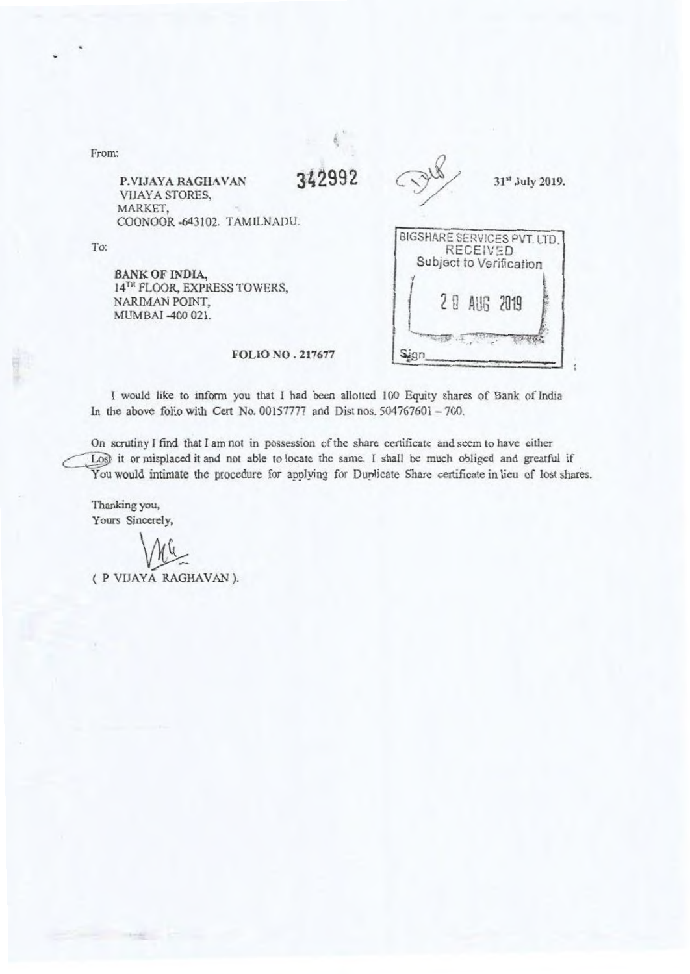| From:                                                                                             |                         |                                                                                         |
|---------------------------------------------------------------------------------------------------|-------------------------|-----------------------------------------------------------------------------------------|
| P.VIJAYA RAGHAVAN<br>VIJAYA STORES,<br>MARKET,<br>COONOOR -643102. TAMILNADU.                     | 342992                  | 31st July 2019.                                                                         |
| To:<br><b>BANK OF INDIA,</b><br>14TH FLOOR, EXPRESS TOWERS,<br>NARIMAN POINT,<br>MUMBAI -400 021. |                         | BIGSHARE SERVICES PVT. LTD<br><b>RECEIVED</b><br>Subject to Verification<br>20 AUG 2019 |
|                                                                                                   | <b>FOLIO NO. 217677</b> |                                                                                         |

I would like to inform you that I had been allotted 100 Equity shares of Bank of India In the above folio with Cat No. 00157777 and Dist nos. 504767601 —700.

On scrutiny I find that I am not in possession of the share certificate and seem to have either Lost it or misplaced it and not able to locate the same. I shall be much obliged and greatful if You would intimate the procedure for applying for Duplicate Share certificate in lieu of lost shares.

Thanking you, Yours Sincerely,

( P VIJAYA RAGHAVAN ).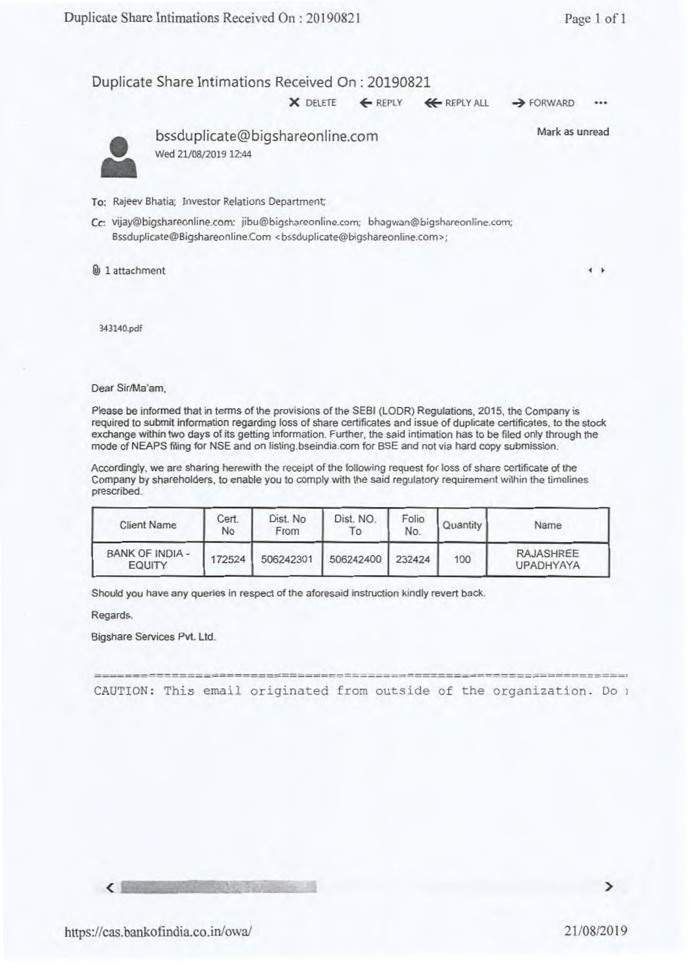• bssduplicate@bigshareonline.com

 $\times$  DELETE  $\leftarrow$  REPLY  $\leftarrow$  REPLY ALL  $\rightarrow$  FORWARD

 $\bullet$ 

Mark as unread

Wed 21/08/2019 12:44

To: Rajeev Bhatia; Investor Relations Department

Cc: vijay@bigshareonline.com; jibu@bigshareonline.com; bhagwan@bigshareonline.com; Bssduplicate@Bigshareonline.Com <br/>bssduplicate@bigshareonline.com>;

lb 1 attachment **<sup>4</sup>**

343140.pdf

Dear Sir/Ma'am,

Please be informed that in terms of the provisions of the SEBI (LODR) Regulations, 2015, the Company is required to submit information regarding loss of share certificates and issue of duplicate certificates, to the stock exchange within two days of its getting information. Further, the said intimation has to be filed only through the mode of NEAPS filing for NSE and on Iisting.bseindia.com for BSE and not via hard copy submission.

Accordingly, we are sharing herewith the receipt of the following request for loss of share certificate **of** the Company by shareholders, to enable you to comply with the said regulatory requirement within the timelines prescribed.

| <b>Client Name</b>               | Cert.<br>No | Dist. No<br>From | Dist. NO.<br>Τo | Folio<br>No. | Quantity | Name                          |
|----------------------------------|-------------|------------------|-----------------|--------------|----------|-------------------------------|
| <b>BANK OF INDIA -</b><br>EQUITY | 172524      | 506242301        | 506242400       | 232424       | 100      | RAJASHREE<br><b>UPADHYAYA</b> |

Should you have any queries in respect of the aforesaid instruction kindly revert back.

Regards,

Bigshare Services Pvt. Ltd.

CAUTION: This email originated from outside of the organization. Do

**<**